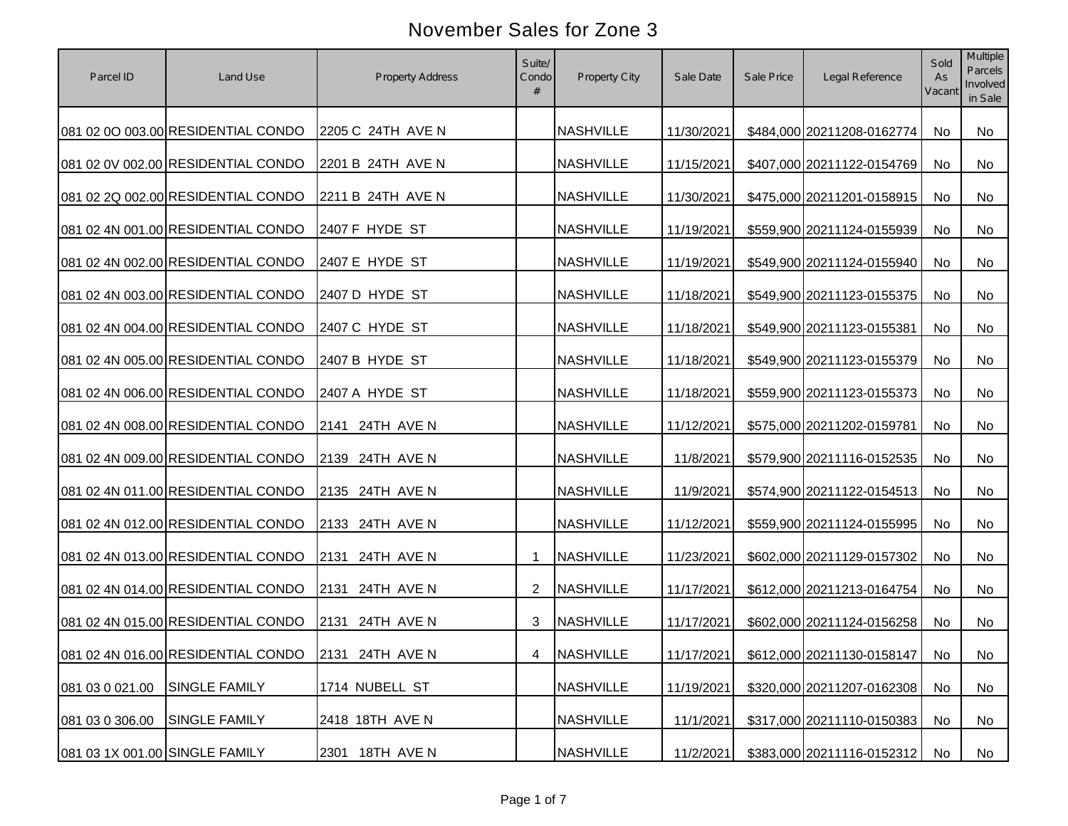| Parcel ID                      | Land Use                                           | <b>Property Address</b> | Suite/<br>Condo | Property City    | Sale Date  | Sale Price | Legal Reference               | Sold<br>As<br>Vacant | <b>Multiple</b><br><b>Parcels</b><br>Involved<br>in Sale |
|--------------------------------|----------------------------------------------------|-------------------------|-----------------|------------------|------------|------------|-------------------------------|----------------------|----------------------------------------------------------|
|                                | 081 02 0O 003.00 RESIDENTIAL CONDO                 | 2205 C 24TH AVE N       |                 | <b>NASHVILLE</b> | 11/30/2021 |            | \$484,000 20211208-0162774    | No                   | <b>No</b>                                                |
|                                | 081 02 0V 002.00 RESIDENTIAL CONDO                 | 2201 B 24TH AVE N       |                 | <b>NASHVILLE</b> | 11/15/2021 |            | \$407,000 20211122-0154769    | No                   | No                                                       |
|                                | 081 02 2Q 002.00 RESIDENTIAL CONDO                 | 2211 B 24TH AVE N       |                 | <b>NASHVILLE</b> | 11/30/2021 |            | \$475,000 20211201-0158915    | No                   | No                                                       |
|                                | 081 02 4N 001.00 RESIDENTIAL CONDO                 | 2407 F HYDE ST          |                 | <b>NASHVILLE</b> | 11/19/2021 |            | \$559,900 20211124-0155939    | No                   | No                                                       |
|                                | 081 02 4N 002.00 RESIDENTIAL CONDO                 | 2407 E HYDE ST          |                 | <b>NASHVILLE</b> | 11/19/2021 |            | \$549,900 20211124-0155940    | No                   | No                                                       |
|                                | 081 02 4N 003.00 RESIDENTIAL CONDO                 | 2407 D HYDE ST          |                 | <b>NASHVILLE</b> | 11/18/2021 |            | \$549,900 20211123-0155375    | No                   | No                                                       |
|                                | 081 02 4N 004.00 RESIDENTIAL CONDO                 | 2407 C HYDE ST          |                 | <b>NASHVILLE</b> | 11/18/2021 |            | \$549,900 20211123-0155381    | No                   | No                                                       |
|                                | 081 02 4N 005.00 RESIDENTIAL CONDO                 | 2407 B HYDE ST          |                 | <b>NASHVILLE</b> | 11/18/2021 |            | \$549,900 20211123-0155379    | No                   | No                                                       |
|                                | 081 02 4N 006.00 RESIDENTIAL CONDO                 | 2407 A HYDE ST          |                 | <b>NASHVILLE</b> | 11/18/2021 |            | \$559,900 20211123-0155373    | No                   | No                                                       |
|                                | 081 02 4N 008.00 RESIDENTIAL CONDO                 | 2141 24TH AVE N         |                 | <b>NASHVILLE</b> | 11/12/2021 |            | \$575,000 20211202-0159781    | No                   | No                                                       |
|                                | 081 02 4N 009.00 RESIDENTIAL CONDO                 | 2139 24TH AVE N         |                 | <b>NASHVILLE</b> | 11/8/2021  |            | \$579,900 20211116-0152535    | No                   | No                                                       |
|                                | 081 02 4N 011.00 RESIDENTIAL CONDO                 | 2135 24TH AVE N         |                 | <b>NASHVILLE</b> | 11/9/2021  |            | \$574,900 20211122-0154513    | No                   | No                                                       |
|                                | 081 02 4N 012.00 RESIDENTIAL CONDO                 | 2133 24TH AVE N         |                 | <b>NASHVILLE</b> | 11/12/2021 |            | \$559,900 20211124-0155995    | <b>No</b>            | No                                                       |
|                                | 081 02 4N 013.00 RESIDENTIAL CONDO                 | 2131 24TH AVE N         |                 | <b>NASHVILLE</b> | 11/23/2021 |            | \$602,000 20211129-0157302    | No                   | No                                                       |
|                                | 081 02 4N 014.00 RESIDENTIAL CONDO                 | 2131 24TH AVE N         | 2               | <b>NASHVILLE</b> | 11/17/2021 |            | \$612,000 20211213-0164754    | No                   | No                                                       |
|                                | 081 02 4N 015.00 RESIDENTIAL CONDO                 | 2131 24TH AVE N         | 3               | <b>NASHVILLE</b> | 11/17/2021 |            | \$602,000 20211124-0156258    | No                   | No                                                       |
|                                |                                                    |                         |                 |                  |            |            |                               |                      |                                                          |
|                                | 081 02 4N 016.00 RESIDENTIAL CONDO 2131 24TH AVE N |                         | $\overline{4}$  | <b>NASHVILLE</b> | 11/17/2021 |            | \$612,000 20211130-0158147 No |                      | No                                                       |
| 081 03 0 021.00                | SINGLE FAMILY                                      | 1714 NUBELL ST          |                 | <b>NASHVILLE</b> | 11/19/2021 |            | \$320,000 20211207-0162308    | No                   | No                                                       |
| 081 03 0 306.00                | <b>SINGLE FAMILY</b>                               | 2418 18TH AVE N         |                 | <b>NASHVILLE</b> | 11/1/2021  |            | \$317,000 20211110-0150383    | No                   | No                                                       |
| 081 03 1X 001.00 SINGLE FAMILY |                                                    | 18TH AVE N<br>2301      |                 | <b>NASHVILLE</b> | 11/2/2021  |            | \$383,000 20211116-0152312    | No                   | No                                                       |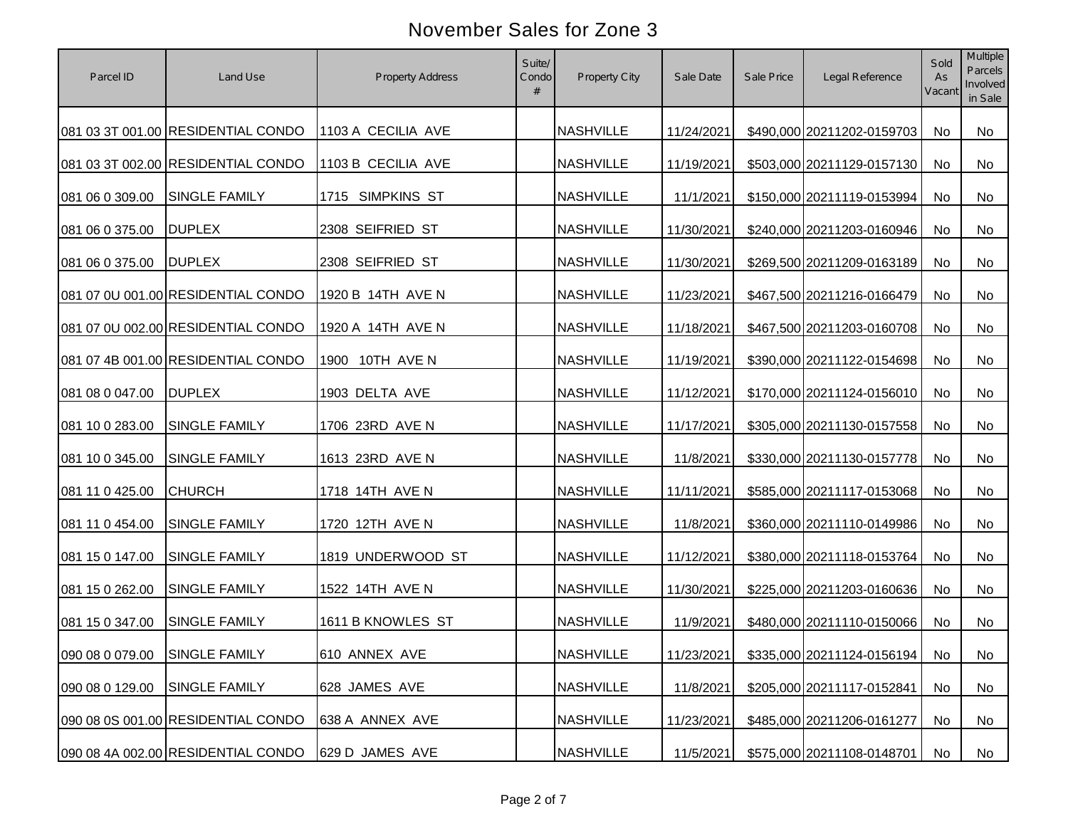| Parcel ID                     | Land Use                           | Property Address   | Suite/<br>Condo | Property City    | Sale Date  | Sale Price | Legal Reference               | Sold<br>As<br>Vacant | Multiple<br><b>Parcels</b><br>Involved<br>in Sale |
|-------------------------------|------------------------------------|--------------------|-----------------|------------------|------------|------------|-------------------------------|----------------------|---------------------------------------------------|
|                               | 081 03 3T 001.00 RESIDENTIAL CONDO | 1103 A CECILIA AVE |                 | <b>NASHVILLE</b> | 11/24/2021 |            | \$490,000 20211202-0159703    | No                   | No                                                |
|                               | 081 03 3T 002.00 RESIDENTIAL CONDO | 1103 B CECILIA AVE |                 | <b>NASHVILLE</b> | 11/19/2021 |            | \$503,000 20211129-0157130    | No                   | No                                                |
| 081 06 0 309.00               | SINGLE FAMILY                      | 1715 SIMPKINS ST   |                 | <b>NASHVILLE</b> | 11/1/2021  |            | \$150,000 20211119-0153994    | No                   | No                                                |
| 081 06 0 375.00               | <b>DUPLEX</b>                      | 2308 SEIFRIED ST   |                 | <b>NASHVILLE</b> | 11/30/2021 |            | \$240,000 20211203-0160946    | No                   | No                                                |
| 081 06 0 375.00               | <b>DUPLEX</b>                      | 2308 SEIFRIED ST   |                 | <b>NASHVILLE</b> | 11/30/2021 |            | \$269,500 20211209-0163189    | No                   | No                                                |
|                               | 081 07 0U 001.00 RESIDENTIAL CONDO | 1920 B 14TH AVE N  |                 | <b>NASHVILLE</b> | 11/23/2021 |            | \$467,500 20211216-0166479    | No                   | No                                                |
|                               | 081 07 0U 002.00 RESIDENTIAL CONDO | 1920 A 14TH AVE N  |                 | <b>NASHVILLE</b> | 11/18/2021 |            | \$467,500 20211203-0160708    | No                   | No                                                |
|                               | 081 07 4B 001.00 RESIDENTIAL CONDO | 1900 10TH AVE N    |                 | <b>NASHVILLE</b> | 11/19/2021 |            | \$390,000 20211122-0154698    | No                   | No                                                |
| 081 08 0 047.00               | <b>DUPLEX</b>                      | 1903 DELTA AVE     |                 | <b>NASHVILLE</b> | 11/12/2021 |            | \$170,000 20211124-0156010    | No                   | No                                                |
| 081 10 0 283.00               | SINGLE FAMILY                      | 1706 23RD AVE N    |                 | <b>NASHVILLE</b> | 11/17/2021 |            | \$305,000 20211130-0157558    | No                   | No                                                |
| 081 10 0 345.00               | SINGLE FAMILY                      | 1613 23RD AVE N    |                 | <b>NASHVILLE</b> | 11/8/2021  |            | \$330,000 20211130-0157778    | No                   | No                                                |
| 081 11 0 425.00               | <b>CHURCH</b>                      | 1718 14TH AVE N    |                 | <b>NASHVILLE</b> | 11/11/2021 |            | \$585,000 20211117-0153068    | <b>No</b>            | No                                                |
| 081 11 0 454.00               | SINGLE FAMILY                      | 1720 12TH AVE N    |                 | <b>NASHVILLE</b> | 11/8/2021  |            | \$360,000 20211110-0149986    | No                   | No                                                |
| 081 15 0 147.00               | <b>SINGLE FAMILY</b>               | 1819 UNDERWOOD ST  |                 | <b>NASHVILLE</b> | 11/12/2021 |            | \$380,000 20211118-0153764    | <b>No</b>            | No.                                               |
| 081 15 0 262.00               | SINGLE FAMILY                      | 1522 14TH AVE N    |                 | <b>NASHVILLE</b> | 11/30/2021 |            | \$225,000 20211203-0160636    | No                   | No                                                |
| 081 15 0 347.00               | <b>SINGLE FAMILY</b>               | 1611 B KNOWLES ST  |                 | <b>NASHVILLE</b> | 11/9/2021  |            | \$480,000 20211110-0150066    | No                   | No                                                |
| 090 08 0 079.00 SINGLE FAMILY |                                    | 610 ANNEX AVE      |                 | <b>NASHVILLE</b> | 11/23/2021 |            | \$335,000 20211124-0156194 No |                      | No                                                |
| 090 08 0 129.00               | SINGLE FAMILY                      | 628 JAMES AVE      |                 | <b>NASHVILLE</b> | 11/8/2021  |            | \$205,000 20211117-0152841    | No                   | No                                                |
|                               | 090 08 0S 001.00 RESIDENTIAL CONDO | 638 A ANNEX AVE    |                 | <b>NASHVILLE</b> | 11/23/2021 |            | \$485,000 20211206-0161277    | No                   | No                                                |
|                               | 090 08 4A 002.00 RESIDENTIAL CONDO | 629 D JAMES AVE    |                 | <b>NASHVILLE</b> | 11/5/2021  |            | \$575,000 20211108-0148701    | No                   | No                                                |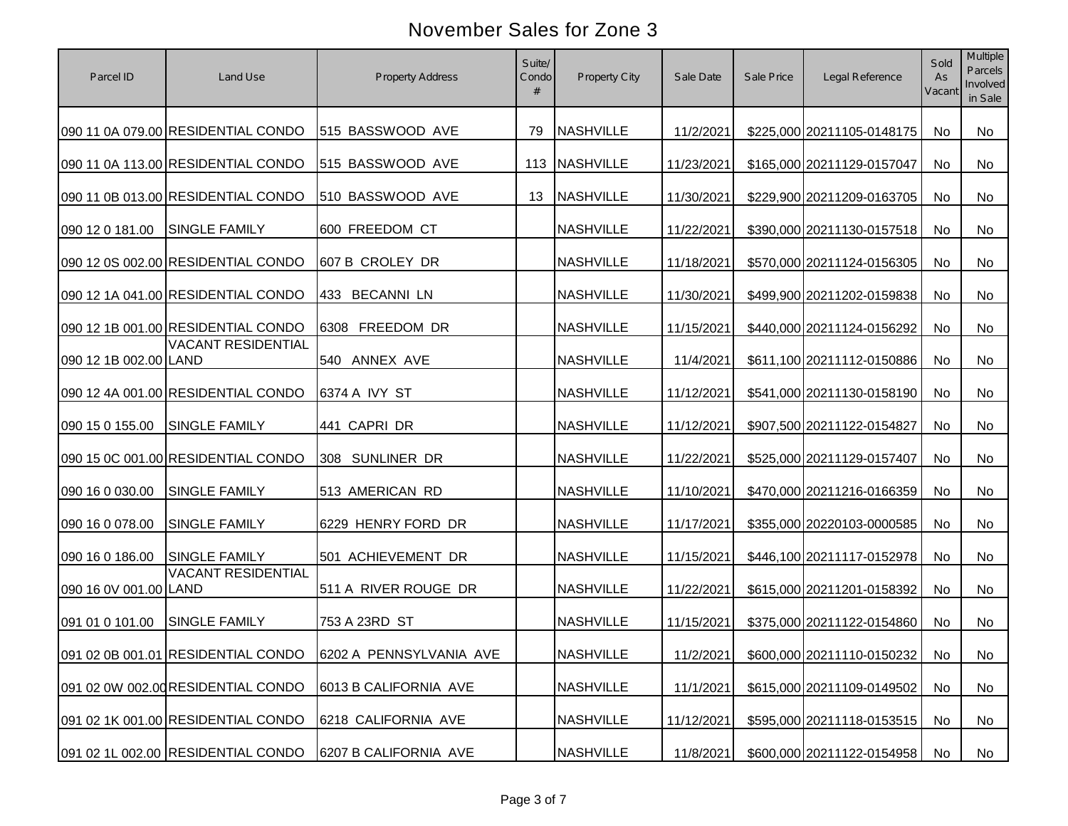| Parcel ID             | Land Use                           | Property Address                                           | Suite/<br>Condo<br># | Property City    | Sale Date  | Sale Price | Legal Reference               | Sold<br>As<br>Vacant | Multiple<br>Parcels<br>Involved<br>in Sale |
|-----------------------|------------------------------------|------------------------------------------------------------|----------------------|------------------|------------|------------|-------------------------------|----------------------|--------------------------------------------|
|                       | 090 11 0A 079.00 RESIDENTIAL CONDO | 515 BASSWOOD AVE                                           | 79                   | <b>NASHVILLE</b> | 11/2/2021  |            | \$225,000 20211105-0148175    | No                   | No                                         |
|                       | 090 11 0A 113.00 RESIDENTIAL CONDO | 515 BASSWOOD AVE                                           |                      | 113 NASHVILLE    | 11/23/2021 |            | \$165,000 20211129-0157047    | No                   | No                                         |
|                       | 090 11 0B 013.00 RESIDENTIAL CONDO | 510 BASSWOOD AVE                                           | 13                   | NASHVILLE        | 11/30/2021 |            | \$229,900 20211209-0163705    | No                   | No                                         |
| 090 12 0 181.00       | <b>SINGLE FAMILY</b>               | 600 FREEDOM CT                                             |                      | <b>NASHVILLE</b> | 11/22/2021 |            | \$390,000 20211130-0157518    | No                   | No                                         |
|                       | 090 12 0S 002.00 RESIDENTIAL CONDO | 607 B CROLEY DR                                            |                      | <b>NASHVILLE</b> | 11/18/2021 |            | \$570,000 20211124-0156305    | No                   | No                                         |
|                       | 090 12 1A 041.00 RESIDENTIAL CONDO | 433 BECANNI LN                                             |                      | <b>NASHVILLE</b> | 11/30/2021 |            | \$499,900 20211202-0159838    | No                   | No                                         |
|                       | 090 12 1B 001.00 RESIDENTIAL CONDO | 6308 FREEDOM DR                                            |                      | <b>NASHVILLE</b> | 11/15/2021 |            | \$440,000 20211124-0156292    | No                   | No                                         |
| 090 12 1B 002.00 LAND | <b>VACANT RESIDENTIAL</b>          | 540 ANNEX AVE                                              |                      | <b>NASHVILLE</b> | 11/4/2021  |            | \$611,100 20211112-0150886    | No                   | No                                         |
|                       | 090 12 4A 001.00 RESIDENTIAL CONDO | 6374 A IVY ST                                              |                      | <b>NASHVILLE</b> | 11/12/2021 |            | \$541,000 20211130-0158190    | No                   | No                                         |
| 090 15 0 155.00       | SINGLE FAMILY                      | 441 CAPRI DR                                               |                      | <b>NASHVILLE</b> | 11/12/2021 |            | \$907,500 20211122-0154827    | No                   | No                                         |
|                       | 090 15 0C 001.00 RESIDENTIAL CONDO | 308 SUNLINER DR                                            |                      | <b>NASHVILLE</b> | 11/22/2021 |            | \$525,000 20211129-0157407    | No                   | No                                         |
| 090 16 0 030.00       | SINGLE FAMILY                      | 513 AMERICAN RD                                            |                      | <b>NASHVILLE</b> | 11/10/2021 |            | \$470,000 20211216-0166359    | No                   | No                                         |
| 090 16 0 078.00       | SINGLE FAMILY                      | 6229 HENRY FORD DR                                         |                      | <b>NASHVILLE</b> | 11/17/2021 |            | \$355,000 20220103-0000585    | No                   | No                                         |
| 090 16 0 186.00       | <b>SINGLE FAMILY</b>               | 501 ACHIEVEMENT DR                                         |                      | <b>NASHVILLE</b> | 11/15/2021 |            | \$446,100 20211117-0152978    | No                   | No                                         |
| 090 16 0V 001.00 LAND | <b>VACANT RESIDENTIAL</b>          | 511 A RIVER ROUGE DR                                       |                      | <b>NASHVILLE</b> | 11/22/2021 |            | \$615,000 20211201-0158392    | No                   | No                                         |
| 091 01 0 101.00       | SINGLE FAMILY                      | 753 A 23RD ST                                              |                      | <b>NASHVILLE</b> | 11/15/2021 |            | \$375,000 20211122-0154860    | No                   | No                                         |
|                       |                                    | 091 02 0B 001.01 RESIDENTIAL CONDO 6202 A PENNSYLVANIA AVE |                      | <b>NASHVILLE</b> | 11/2/2021  |            | \$600,000 20211110-0150232 No |                      | No                                         |
|                       | 091 02 0W 002.00 RESIDENTIAL CONDO | 6013 B CALIFORNIA AVE                                      |                      | <b>NASHVILLE</b> | 11/1/2021  |            | \$615,000 20211109-0149502    | No                   | No                                         |
|                       | 091 02 1K 001.00 RESIDENTIAL CONDO | 6218 CALIFORNIA AVE                                        |                      | <b>NASHVILLE</b> | 11/12/2021 |            | \$595,000 20211118-0153515    | No                   | No                                         |
|                       | 091 02 1L 002.00 RESIDENTIAL CONDO | 6207 B CALIFORNIA AVE                                      |                      | <b>NASHVILLE</b> | 11/8/2021  |            | \$600,000 20211122-0154958    | No                   | No                                         |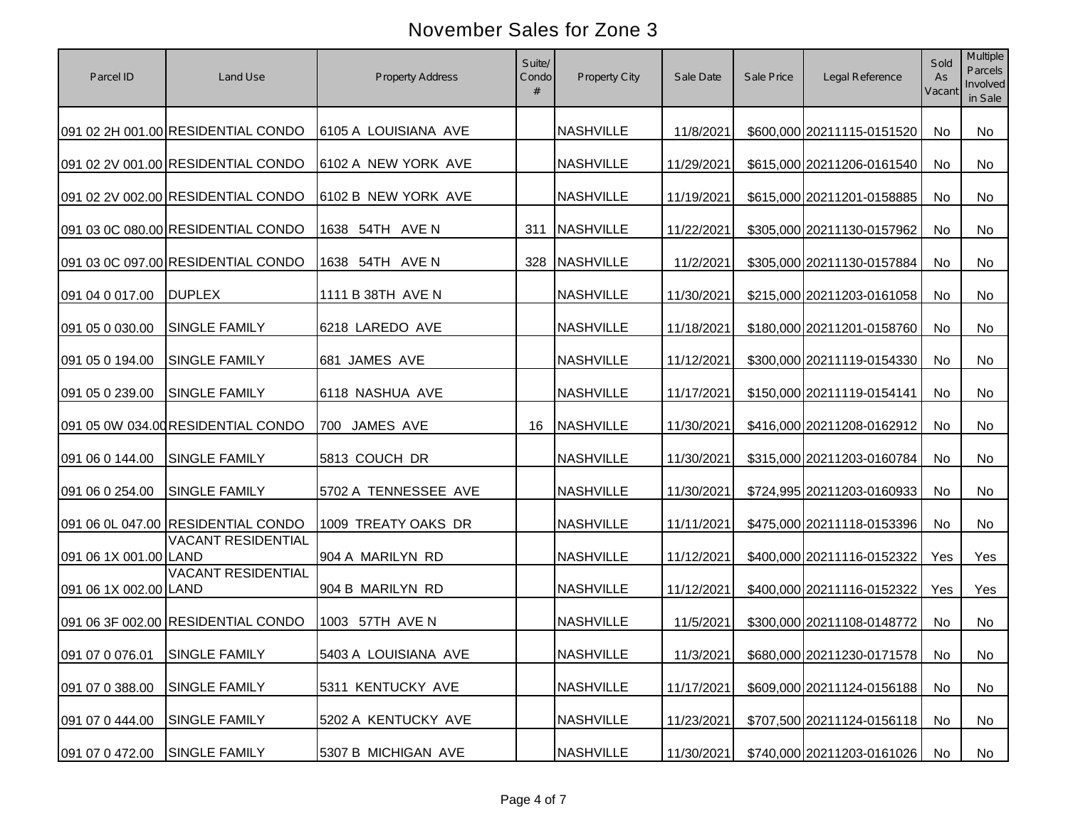| Parcel ID                     | Land Use                           | Property Address     | Suite/<br>Condo<br># | Property City    | Sale Date  | Sale Price | Legal Reference               | Sold<br>As<br>Vacant | Multiple<br>Parcels<br>Involved<br>in Sale |
|-------------------------------|------------------------------------|----------------------|----------------------|------------------|------------|------------|-------------------------------|----------------------|--------------------------------------------|
|                               | 091 02 2H 001.00 RESIDENTIAL CONDO | 6105 A LOUISIANA AVE |                      | <b>NASHVILLE</b> | 11/8/2021  |            | \$600,000 20211115-0151520    | No                   | No                                         |
|                               | 091 02 2V 001.00 RESIDENTIAL CONDO | 6102 A NEW YORK AVE  |                      | <b>NASHVILLE</b> | 11/29/2021 |            | \$615,000 20211206-0161540    | No                   | <b>No</b>                                  |
|                               | 091 02 2V 002.00 RESIDENTIAL CONDO | 6102 B NEW YORK AVE  |                      | <b>NASHVILLE</b> | 11/19/2021 |            | \$615,000 20211201-0158885    | No                   | No                                         |
|                               | 091 03 0C 080.00 RESIDENTIAL CONDO | 1638 54TH AVE N      | 311                  | <b>NASHVILLE</b> | 11/22/2021 |            | \$305,000 20211130-0157962    | No                   | No                                         |
|                               | 091 03 0C 097.00 RESIDENTIAL CONDO | 1638 54TH AVE N      | 328                  | NASHVILLE        | 11/2/2021  |            | \$305,000 20211130-0157884    | <b>No</b>            | No                                         |
| 091 04 0 017.00               | <b>DUPLEX</b>                      | 1111 B 38TH AVE N    |                      | <b>NASHVILLE</b> | 11/30/2021 |            | \$215,000 20211203-0161058    | No                   | No                                         |
| 091 05 0 030.00               | <b>SINGLE FAMILY</b>               | 6218 LAREDO AVE      |                      | <b>NASHVILLE</b> | 11/18/2021 |            | \$180,000 20211201-0158760    | No                   | No                                         |
| 091 05 0 194.00               | SINGLE FAMILY                      | 681 JAMES AVE        |                      | <b>NASHVILLE</b> | 11/12/2021 |            | \$300,000 20211119-0154330    | No                   | No                                         |
| 091 05 0 239.00               | SINGLE FAMILY                      | 6118 NASHUA AVE      |                      | <b>NASHVILLE</b> | 11/17/2021 |            | \$150,000 20211119-0154141    | No                   | No                                         |
|                               | 091 05 0W 034.00 RESIDENTIAL CONDO | 700 JAMES AVE        | 16                   | <b>NASHVILLE</b> | 11/30/2021 |            | \$416,000 20211208-0162912    | No                   | No                                         |
| 091 06 0 144.00               | <b>SINGLE FAMILY</b>               | 5813 COUCH DR        |                      | <b>NASHVILLE</b> | 11/30/2021 |            | \$315,000 20211203-0160784    | No                   | No                                         |
| 091 06 0 254.00               | <b>SINGLE FAMILY</b>               | 5702 A TENNESSEE AVE |                      | <b>NASHVILLE</b> | 11/30/2021 |            | \$724,995 20211203-0160933    | No                   | No                                         |
|                               | 091 06 0L 047.00 RESIDENTIAL CONDO | 1009 TREATY OAKS DR  |                      | <b>NASHVILLE</b> | 11/11/2021 |            | \$475,000 20211118-0153396    | No                   | No                                         |
| 091 06 1X 001.00 LAND         | <b>VACANT RESIDENTIAL</b>          | 904 A MARILYN RD     |                      | <b>NASHVILLE</b> | 11/12/2021 |            | \$400,000 20211116-0152322    | Yes                  | Yes                                        |
| 091 06 1X 002.00 LAND         | <b>VACANT RESIDENTIAL</b>          | 904 B MARILYN RD     |                      | <b>NASHVILLE</b> | 11/12/2021 |            | \$400,000 20211116-0152322    | Yes                  | Yes                                        |
|                               | 091 06 3F 002.00 RESIDENTIAL CONDO | 1003 57TH AVE N      |                      | <b>NASHVILLE</b> | 11/5/2021  |            | \$300,000 20211108-0148772    | No                   | No                                         |
| 091 07 0 076.01 SINGLE FAMILY |                                    | 5403 A LOUISIANA AVE |                      | <b>NASHVILLE</b> | 11/3/2021  |            | \$680,000 20211230-0171578 No |                      | No                                         |
| 091 07 0 388.00               | <b>SINGLE FAMILY</b>               | 5311 KENTUCKY AVE    |                      | <b>NASHVILLE</b> | 11/17/2021 |            | \$609,000 20211124-0156188    | No                   | No                                         |
| 091 07 0 444.00               | SINGLE FAMILY                      | 5202 A KENTUCKY AVE  |                      | <b>NASHVILLE</b> | 11/23/2021 |            | \$707,500 20211124-0156118    | No                   | No                                         |
| 091 07 0 472.00               | <b>SINGLE FAMILY</b>               | 5307 B MICHIGAN AVE  |                      | <b>NASHVILLE</b> | 11/30/2021 |            | \$740,000 20211203-0161026    | No                   | No                                         |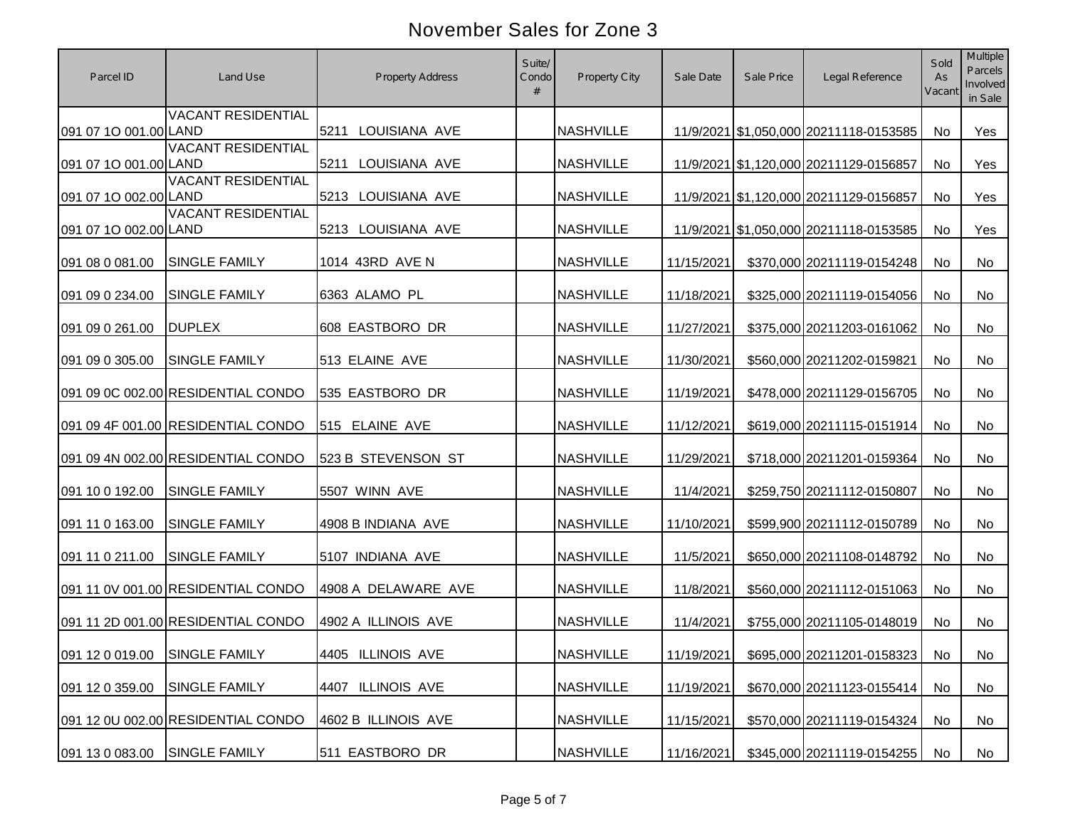| Parcel ID                     | Land Use                           | <b>Property Address</b> | Suite/<br>Condo<br># | Property City    | Sale Date  | Sale Price | Legal Reference                        | Sold<br>As<br>Vacant | Multiple<br>Parcels<br>Involved<br>in Sale |
|-------------------------------|------------------------------------|-------------------------|----------------------|------------------|------------|------------|----------------------------------------|----------------------|--------------------------------------------|
| 091 07 1O 001.00 LAND         | <b>VACANT RESIDENTIAL</b>          | 5211 LOUISIANA AVE      |                      | <b>NASHVILLE</b> |            |            | 11/9/2021 \$1,050,000 20211118-0153585 | <b>No</b>            | Yes                                        |
| 091 07 1O 001.00 LAND         | <b>VACANT RESIDENTIAL</b>          | 5211 LOUISIANA AVE      |                      | <b>NASHVILLE</b> |            |            | 11/9/2021 \$1,120,000 20211129-0156857 | No                   | Yes                                        |
| 091 07 1O 002.00 LAND         | <b>VACANT RESIDENTIAL</b>          | 5213 LOUISIANA AVE      |                      | <b>NASHVILLE</b> |            |            | 11/9/2021 \$1,120,000 20211129-0156857 | <b>No</b>            | Yes                                        |
| 091 07 1O 002.00 LAND         | <b>VACANT RESIDENTIAL</b>          | 5213 LOUISIANA AVE      |                      | <b>NASHVILLE</b> |            |            | 11/9/2021 \$1,050,000 20211118-0153585 | <b>No</b>            | Yes                                        |
| 091 08 0 081.00               | <b>SINGLE FAMILY</b>               | 1014 43RD AVE N         |                      | <b>NASHVILLE</b> | 11/15/2021 |            | \$370,000 20211119-0154248             | No                   | No                                         |
| 091 09 0 234.00               | SINGLE FAMILY                      | 6363 ALAMO PL           |                      | <b>NASHVILLE</b> | 11/18/2021 |            | \$325,000 20211119-0154056             | No                   | No                                         |
| 091 09 0 261.00               | <b>DUPLEX</b>                      | 608 EASTBORO DR         |                      | <b>NASHVILLE</b> | 11/27/2021 |            | \$375,000 20211203-0161062             | No                   | No                                         |
| 091 09 0 305.00               | <b>SINGLE FAMILY</b>               | 513 ELAINE AVE          |                      | <b>NASHVILLE</b> | 11/30/2021 |            | \$560,000 20211202-0159821             | No                   | No                                         |
|                               | 091 09 0C 002.00 RESIDENTIAL CONDO | 535 EASTBORO DR         |                      | <b>NASHVILLE</b> | 11/19/2021 |            | \$478,000 20211129-0156705             | No                   | No                                         |
|                               | 091 09 4F 001.00 RESIDENTIAL CONDO | 515 ELAINE AVE          |                      | <b>NASHVILLE</b> | 11/12/2021 |            | \$619,000 20211115-0151914             | No                   | No                                         |
|                               | 091 09 4N 002.00 RESIDENTIAL CONDO | 523 B STEVENSON ST      |                      | <b>NASHVILLE</b> | 11/29/2021 |            | \$718,000 20211201-0159364             | No                   | No                                         |
| 091 10 0 192.00               | <b>SINGLE FAMILY</b>               | 5507 WINN AVE           |                      | <b>NASHVILLE</b> | 11/4/2021  |            | \$259,750 20211112-0150807             | No                   | No                                         |
| 091 11 0 163.00               | <b>SINGLE FAMILY</b>               | 4908 B INDIANA AVE      |                      | <b>NASHVILLE</b> | 11/10/2021 |            | \$599,900 20211112-0150789             | No                   | No                                         |
| 091 11 0 211.00               | <b>SINGLE FAMILY</b>               | 5107 INDIANA AVE        |                      | <b>NASHVILLE</b> | 11/5/2021  |            | \$650,000 20211108-0148792             | No                   | No                                         |
|                               | 091 11 0V 001.00 RESIDENTIAL CONDO | 4908 A DELAWARE AVE     |                      | <b>NASHVILLE</b> | 11/8/2021  |            | \$560,000 20211112-0151063             | <b>No</b>            | <b>No</b>                                  |
|                               | 091 11 2D 001.00 RESIDENTIAL CONDO | 4902 A ILLINOIS AVE     |                      | <b>NASHVILLE</b> | 11/4/2021  |            | \$755,000 20211105-0148019             | <b>No</b>            | No                                         |
| 091 12 0 019.00 SINGLE FAMILY |                                    | 4405 ILLINOIS AVE       |                      | <b>NASHVILLE</b> | 11/19/2021 |            | \$695,000 20211201-0158323 No          |                      | No                                         |
|                               |                                    |                         |                      |                  |            |            |                                        |                      |                                            |
| 091 12 0 359.00               | <b>SINGLE FAMILY</b>               | 4407 ILLINOIS AVE       |                      | <b>NASHVILLE</b> | 11/19/2021 |            | \$670,000 20211123-0155414             | No                   | No                                         |
|                               | 091 12 0U 002.00 RESIDENTIAL CONDO | 4602 B ILLINOIS AVE     |                      | <b>NASHVILLE</b> | 11/15/2021 |            | \$570,000 20211119-0154324             | No                   | No                                         |
| 091 13 0 083.00               | <b>SINGLE FAMILY</b>               | 511 EASTBORO DR         |                      | <b>NASHVILLE</b> | 11/16/2021 |            | \$345,000 20211119-0154255             | No                   | No                                         |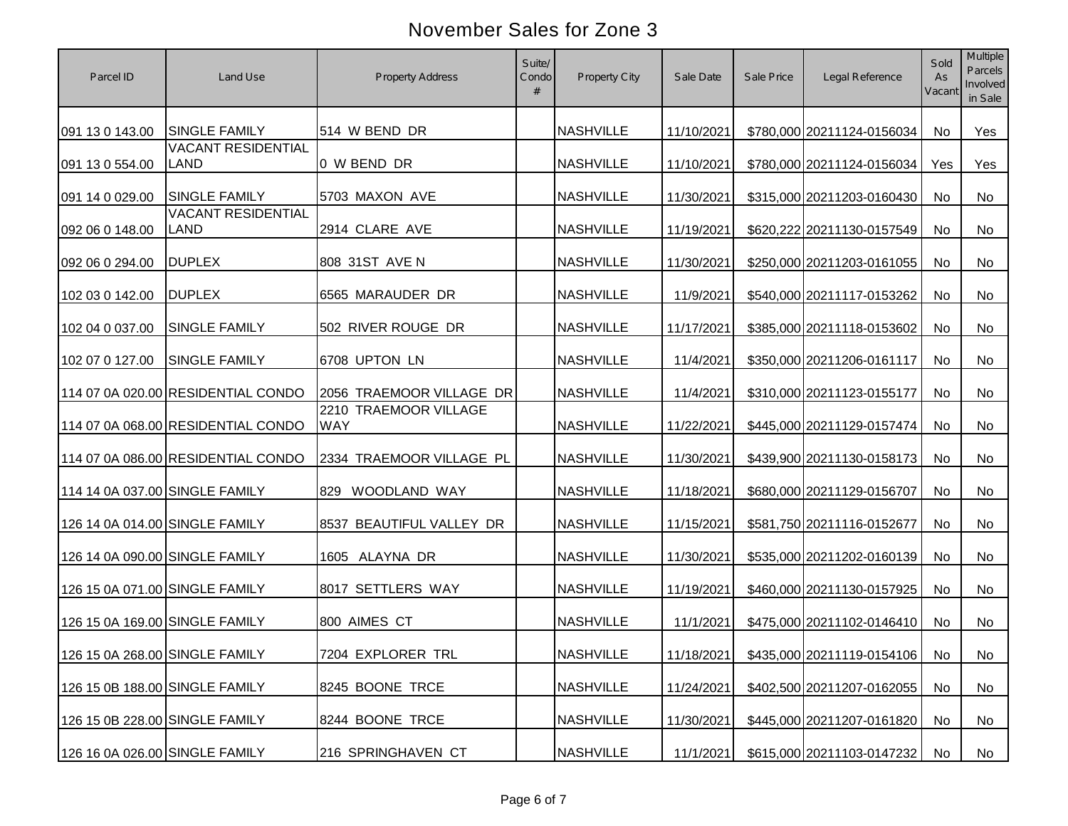| Parcel ID                      | Land Use                           | <b>Property Address</b>             | Suite/<br>Condo<br># | Property City    | Sale Date  | Sale Price | Legal Reference               | Sold<br>As<br>Vacant | Multiple<br>Parcels<br>Involved<br>in Sale |
|--------------------------------|------------------------------------|-------------------------------------|----------------------|------------------|------------|------------|-------------------------------|----------------------|--------------------------------------------|
| 091 13 0 143.00                | <b>SINGLE FAMILY</b>               | 514 W BEND DR                       |                      | <b>NASHVILLE</b> | 11/10/2021 |            | \$780,000 20211124-0156034    | No                   | Yes                                        |
| 091 13 0 554.00                | <b>VACANT RESIDENTIAL</b><br>LAND  | 0 W BEND DR                         |                      | <b>NASHVILLE</b> | 11/10/2021 |            | \$780,000 20211124-0156034    | Yes                  | Yes                                        |
| 091 14 0 029.00                | <b>SINGLE FAMILY</b>               | 5703 MAXON AVE                      |                      | <b>NASHVILLE</b> | 11/30/2021 |            | \$315,000 20211203-0160430    | No                   | No                                         |
| 092 06 0 148.00                | <b>VACANT RESIDENTIAL</b><br>LAND  | 2914 CLARE AVE                      |                      | <b>NASHVILLE</b> | 11/19/2021 |            | \$620,222 20211130-0157549    | No                   | No                                         |
| 092 06 0 294.00                | <b>DUPLEX</b>                      | 808 31ST AVE N                      |                      | <b>NASHVILLE</b> | 11/30/2021 |            | \$250,000 20211203-0161055    | No                   | No                                         |
| 102 03 0 142.00                | <b>DUPLEX</b>                      | 6565 MARAUDER DR                    |                      | <b>NASHVILLE</b> | 11/9/2021  |            | \$540,000 20211117-0153262    | No                   | No                                         |
| 102 04 0 037.00                | <b>SINGLE FAMILY</b>               | 502 RIVER ROUGE DR                  |                      | <b>NASHVILLE</b> | 11/17/2021 |            | \$385,000 20211118-0153602    | No                   | No                                         |
| 102 07 0 127.00                | <b>SINGLE FAMILY</b>               | 6708 UPTON LN                       |                      | <b>NASHVILLE</b> | 11/4/2021  |            | \$350,000 20211206-0161117    | No                   | No                                         |
|                                | 114 07 0A 020.00 RESIDENTIAL CONDO | 2056 TRAEMOOR VILLAGE DR            |                      | <b>NASHVILLE</b> | 11/4/2021  |            | \$310,000 20211123-0155177    | No                   | No                                         |
|                                | 114 07 0A 068.00 RESIDENTIAL CONDO | 2210 TRAEMOOR VILLAGE<br><b>WAY</b> |                      | <b>NASHVILLE</b> | 11/22/2021 |            | \$445,000 20211129-0157474    | No                   | No                                         |
|                                | 114 07 0A 086.00 RESIDENTIAL CONDO | 2334 TRAEMOOR VILLAGE PL            |                      | <b>NASHVILLE</b> | 11/30/2021 |            | \$439,900 20211130-0158173    | No                   | No                                         |
| 114 14 0A 037.00 SINGLE FAMILY |                                    | 829 WOODLAND WAY                    |                      | <b>NASHVILLE</b> | 11/18/2021 |            | \$680,000 20211129-0156707    | No                   | No                                         |
| 126 14 0A 014.00 SINGLE FAMILY |                                    | 8537 BEAUTIFUL VALLEY DR            |                      | <b>NASHVILLE</b> | 11/15/2021 |            | \$581,750 20211116-0152677    | No                   | No                                         |
| 126 14 0A 090.00 SINGLE FAMILY |                                    | 1605 ALAYNA DR                      |                      | <b>NASHVILLE</b> | 11/30/2021 |            | \$535,000 20211202-0160139    | No                   | No                                         |
| 126 15 0A 071.00 SINGLE FAMILY |                                    | 8017 SETTLERS WAY                   |                      | <b>NASHVILLE</b> | 11/19/2021 |            | \$460,000 20211130-0157925    | No                   | No                                         |
| 126 15 0A 169.00 SINGLE FAMILY |                                    | 800 AIMES CT                        |                      | <b>NASHVILLE</b> | 11/1/2021  |            | \$475,000 20211102-0146410    | <b>No</b>            | No                                         |
|                                | 126 15 0A 268.00 SINGLE FAMILY     | 7204 EXPLORER TRL                   |                      | NASHVILLE        | 11/18/2021 |            | \$435,000 20211119-0154106 No |                      | No                                         |
| 126 15 0B 188.00 SINGLE FAMILY |                                    | 8245 BOONE TRCE                     |                      | <b>NASHVILLE</b> | 11/24/2021 |            | \$402,500 20211207-0162055    | No                   | No                                         |
| 126 15 0B 228.00 SINGLE FAMILY |                                    | 8244 BOONE TRCE                     |                      | <b>NASHVILLE</b> | 11/30/2021 |            | \$445,000 20211207-0161820    | No                   | No                                         |
| 126 16 0A 026.00 SINGLE FAMILY |                                    | 216 SPRINGHAVEN CT                  |                      | <b>NASHVILLE</b> | 11/1/2021  |            | \$615,000 20211103-0147232    | No                   | No                                         |